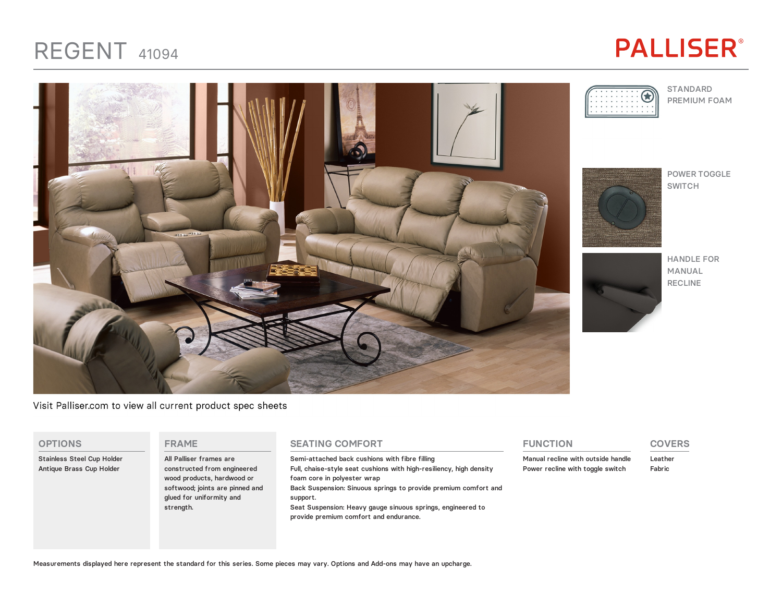## REGENT <sup>41094</sup>

# **PALLISER®**



Visit Palliser.com to view all current product spec sheets

#### **OPTIONS**

Stainless Steel Cup Holder Antique Brass Cup Holder

#### **FRAME**

All Palliser frames are constructed from engineered wood products, hardwood or softwood; joints are pinned and glued for uniformity and strength.

### **SEATING COMFORT**

Semi-attached back cushions with fibre filling Full, chaise-style seat cushions with high-resiliency, high density foam core in polyester wrap Back Suspension: Sinuous springs to provide premium comfort and support. Seat Suspension: Heavy gauge sinuous springs, engineered to provide premium comfort and endurance.

### **FUNCTION**

Manual recline with outside handle Power recline with toggle switch

### **COVERS**

Leather Fabric





HANDLE FOR MANUAL RECLINE

Measurements displayed here represent the standard for this series. Some pieces may vary. Options and Add-ons may have an upcharge.